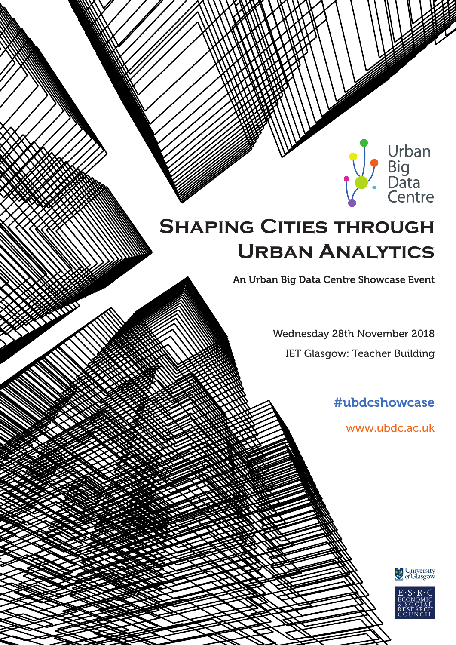# **SHAPING CITIES THROUGH Urban Analytics**

An Urban Big Data Centre Showcase Event

Wednesday 28th November 2018 IET Glasgow: Teacher Building

#ubdcshowcase

www.ubdc.ac.uk

Urban<br>Big<br>Data<br>Centre



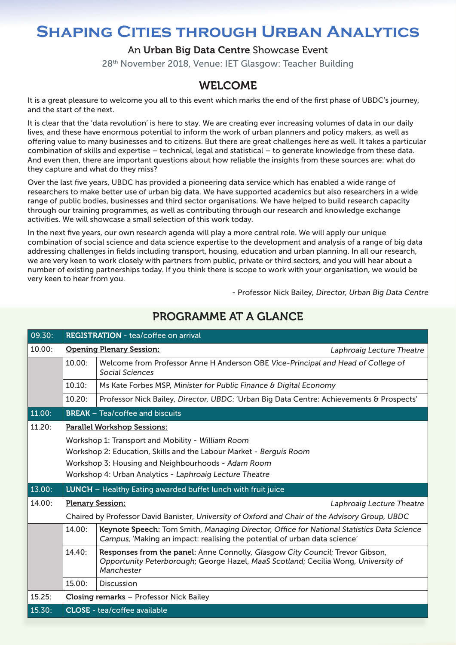## **Shaping Cities through Urban Analytics**

#### An Urban Big Data Centre Showcase Event

28th November 2018, Venue: IET Glasgow: Teacher Building

## WELCOME

It is a great pleasure to welcome you all to this event which marks the end of the first phase of UBDC's journey, and the start of the next.

It is clear that the 'data revolution' is here to stay. We are creating ever increasing volumes of data in our daily lives, and these have enormous potential to inform the work of urban planners and policy makers, as well as offering value to many businesses and to citizens. But there are great challenges here as well. It takes a particular combination of skills and expertise – technical, legal and statistical – to generate knowledge from these data. And even then, there are important questions about how reliable the insights from these sources are: what do they capture and what do they miss?

Over the last five years, UBDC has provided a pioneering data service which has enabled a wide range of researchers to make better use of urban big data. We have supported academics but also researchers in a wide range of public bodies, businesses and third sector organisations. We have helped to build research capacity through our training programmes, as well as contributing through our research and knowledge exchange activities. We will showcase a small selection of this work today.

In the next five years, our own research agenda will play a more central role. We will apply our unique combination of social science and data science expertise to the development and analysis of a range of big data addressing challenges in fields including transport, housing, education and urban planning. In all our research, we are very keen to work closely with partners from public, private or third sectors, and you will hear about a number of existing partnerships today. If you think there is scope to work with your organisation, we would be very keen to hear from you.

- Professor Nick Bailey, Director, Urban Big Data Centre

| 09.30: | <b>REGISTRATION</b> - tea/coffee on arrival                                                                                                                                         |                                                                                                                                                                                   |                           |  |  |  |  |
|--------|-------------------------------------------------------------------------------------------------------------------------------------------------------------------------------------|-----------------------------------------------------------------------------------------------------------------------------------------------------------------------------------|---------------------------|--|--|--|--|
| 10.00: |                                                                                                                                                                                     | <b>Opening Plenary Session:</b>                                                                                                                                                   | Laphroaig Lecture Theatre |  |  |  |  |
|        | 10.00:<br>Welcome from Professor Anne H Anderson OBE Vice-Principal and Head of College of<br>Social Sciences                                                                       |                                                                                                                                                                                   |                           |  |  |  |  |
|        | 10.10:<br>Ms Kate Forbes MSP, Minister for Public Finance & Digital Economy                                                                                                         |                                                                                                                                                                                   |                           |  |  |  |  |
|        | 10.20:                                                                                                                                                                              | Professor Nick Bailey, Director, UBDC: 'Urban Big Data Centre: Achievements & Prospects'                                                                                          |                           |  |  |  |  |
| 11.00: |                                                                                                                                                                                     | <b>BREAK</b> - Tea/coffee and biscuits                                                                                                                                            |                           |  |  |  |  |
| 11.20: | <b>Parallel Workshop Sessions:</b>                                                                                                                                                  |                                                                                                                                                                                   |                           |  |  |  |  |
|        | Workshop 1: Transport and Mobility - William Room                                                                                                                                   |                                                                                                                                                                                   |                           |  |  |  |  |
|        | Workshop 2: Education, Skills and the Labour Market - Berguis Room<br>Workshop 3: Housing and Neighbourhoods - Adam Room<br>Workshop 4: Urban Analytics - Laphroaig Lecture Theatre |                                                                                                                                                                                   |                           |  |  |  |  |
|        |                                                                                                                                                                                     |                                                                                                                                                                                   |                           |  |  |  |  |
|        |                                                                                                                                                                                     |                                                                                                                                                                                   |                           |  |  |  |  |
| 13.00: | LUNCH - Healthy Eating awarded buffet lunch with fruit juice                                                                                                                        |                                                                                                                                                                                   |                           |  |  |  |  |
| 14.00: | <b>Plenary Session:</b>                                                                                                                                                             |                                                                                                                                                                                   | Laphroaig Lecture Theatre |  |  |  |  |
|        | Chaired by Professor David Banister, University of Oxford and Chair of the Advisory Group, UBDC                                                                                     |                                                                                                                                                                                   |                           |  |  |  |  |
|        | 14.00:                                                                                                                                                                              | Keynote Speech: Tom Smith, Managing Director, Office for National Statistics Data Science<br>Campus, 'Making an impact: realising the potential of urban data science'            |                           |  |  |  |  |
|        | 14.40:                                                                                                                                                                              | Responses from the panel: Anne Connolly, Glasgow City Council; Trevor Gibson,<br>Opportunity Peterborough; George Hazel, MaaS Scotland; Cecilia Wong, University of<br>Manchester |                           |  |  |  |  |
|        | 15.00:                                                                                                                                                                              | <b>Discussion</b>                                                                                                                                                                 |                           |  |  |  |  |
| 15.25: | Closing remarks - Professor Nick Bailey                                                                                                                                             |                                                                                                                                                                                   |                           |  |  |  |  |
| 15.30: | <b>CLOSE</b> - tea/coffee available                                                                                                                                                 |                                                                                                                                                                                   |                           |  |  |  |  |

## PROGRAMME AT A GLANCE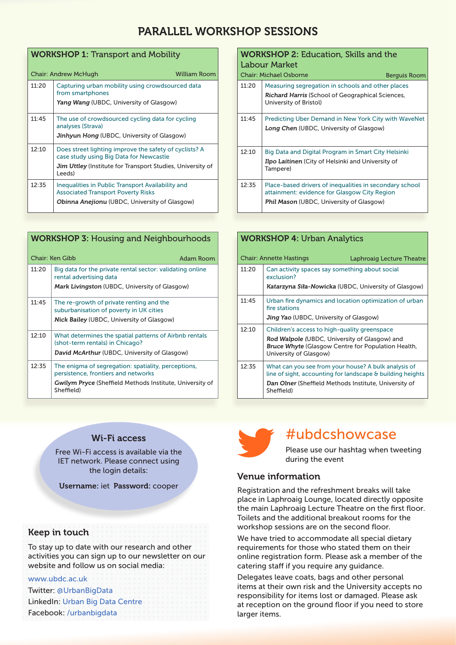## PARALLEL WORKSHOP SESSIONS

| <b>WORKSHOP 1: Transport and Mobility</b> |                                                                                                   |  |  |  |  |  |
|-------------------------------------------|---------------------------------------------------------------------------------------------------|--|--|--|--|--|
|                                           | <b>William Room</b><br>Chair: Andrew McHugh                                                       |  |  |  |  |  |
| 11:20                                     | Capturing urban mobility using crowdsourced data<br>from smartphones                              |  |  |  |  |  |
|                                           | Yang Wang (UBDC, University of Glasgow)                                                           |  |  |  |  |  |
| 11:45                                     | The use of crowdsourced cycling data for cycling<br>analyses (Strava)                             |  |  |  |  |  |
|                                           | Jinhyun Hong (UBDC, University of Glasgow)                                                        |  |  |  |  |  |
| 12:10                                     | Does street lighting improve the safety of cyclists? A<br>case study using Big Data for Newcastle |  |  |  |  |  |
|                                           | <b>Jim Uttley</b> (Institute for Transport Studies, University of<br>Leeds)                       |  |  |  |  |  |
| 12:35                                     | Inequalities in Public Transport Availability and<br><b>Associated Transport Poverty Risks</b>    |  |  |  |  |  |
|                                           | <b>Obinna Anejionu</b> (UBDC, University of Glasgow)                                              |  |  |  |  |  |

| <b>WORKSHOP 3: Housing and Neighbourhoods</b> |                                                                                            |  |  |  |  |  |
|-----------------------------------------------|--------------------------------------------------------------------------------------------|--|--|--|--|--|
| Chair: Ken Gibb<br><b>Adam Room</b>           |                                                                                            |  |  |  |  |  |
| 11:20                                         | Big data for the private rental sector: validating online<br>rental advertising data       |  |  |  |  |  |
|                                               | <b>Mark Livingston</b> (UBDC, University of Glasgow)                                       |  |  |  |  |  |
| 11:45                                         | The re-growth of private renting and the<br>suburbanisation of poverty in UK cities        |  |  |  |  |  |
|                                               | <b>Nick Bailey</b> (UBDC, University of Glasgow)                                           |  |  |  |  |  |
| 12:10                                         | What determines the spatial patterns of Airbnb rentals<br>(shot-term rentals) in Chicago?  |  |  |  |  |  |
|                                               | David McArthur (UBDC, University of Glasgow)                                               |  |  |  |  |  |
| 12:35                                         | The enigma of segregation: spatiality, perceptions,<br>persistence, frontiers and networks |  |  |  |  |  |
|                                               | <b>Gwilym Pryce</b> (Sheffield Methods Institute, University of<br>Sheffield)              |  |  |  |  |  |

#### WORKSHOP 2: Education, Skills and the Labour Market Chair: Michael Osborne Berguis Room

| 11:20 | Measuring segregation in schools and other places<br><b>Richard Harris</b> (School of Geographical Sciences,<br>University of Bristol)              |
|-------|-----------------------------------------------------------------------------------------------------------------------------------------------------|
| 11:45 | <b>Predicting Uber Demand in New York City with WaveNet</b><br>Long Chen (UBDC, University of Glasgow)                                              |
| 12:10 | Big Data and Digital Program in Smart City Helsinki<br><b>Ilpo Laitinen</b> (City of Helsinki and University of<br>Tampere)                         |
| 12:35 | Place-based drivers of inequalities in secondary school<br>attainment: evidence for Glasgow City Region<br>Phil Mason (UBDC, University of Glasgow) |

| <b>WORKSHOP 4: Urban Analytics</b>                   |                                                                                                                    |                                                                                                                                              |  |  |
|------------------------------------------------------|--------------------------------------------------------------------------------------------------------------------|----------------------------------------------------------------------------------------------------------------------------------------------|--|--|
|                                                      |                                                                                                                    | Laphroaig Lecture Theatre                                                                                                                    |  |  |
| 11:20                                                | Can activity spaces say something about social<br>exclusion?                                                       |                                                                                                                                              |  |  |
| Katarzyna Siła-Nowicka (UBDC, University of Glasgow) |                                                                                                                    |                                                                                                                                              |  |  |
| 11:45                                                | Urban fire dynamics and location optimization of urban<br>fire stations                                            |                                                                                                                                              |  |  |
|                                                      | Jing Yao (UBDC, University of Glasgow)                                                                             |                                                                                                                                              |  |  |
| 12:10                                                | Children's access to high-quality greenspace                                                                       |                                                                                                                                              |  |  |
|                                                      |                                                                                                                    |                                                                                                                                              |  |  |
|                                                      | University of Glasgow)                                                                                             |                                                                                                                                              |  |  |
| 12:35                                                | What can you see from your house? A bulk analysis of<br>line of sight, accounting for landscape & building heights |                                                                                                                                              |  |  |
|                                                      | Dan Olner (Sheffield Methods Institute, University of<br>Sheffield)                                                |                                                                                                                                              |  |  |
|                                                      |                                                                                                                    | <b>Chair: Annette Hastings</b><br>Rod Walpole (UBDC, University of Glasgow) and<br><b>Bruce Whyte (Glasgow Centre for Population Health,</b> |  |  |

#### Wi-Fi access

Free Wi-Fi access is available via the IET network. Please connect using the login details:

Username: iet Password: cooper

#### Keep in touch

To stay up to date with our research and other activities you can sign up to our newsletter on our website and follow us on social media:

#### www.ubdc.ac.uk

Twitter: @UrbanBigData LinkedIn: Urban Big Data Centre Facebook: /urbanbigdata



## #ubdcshowcase

Please use our hashtag when tweeting during the event

#### Venue information

Registration and the refreshment breaks will take place in Laphroaig Lounge, located directly opposite the main Laphroaig Lecture Theatre on the first floor. Toilets and the additional breakout rooms for the workshop sessions are on the second floor.

We have tried to accommodate all special dietary requirements for those who stated them on their online registration form. Please ask a member of the catering staff if you require any guidance.

Delegates leave coats, bags and other personal items at their own risk and the University accepts no responsibility for items lost or damaged. Please ask at reception on the ground floor if you need to store larger items.